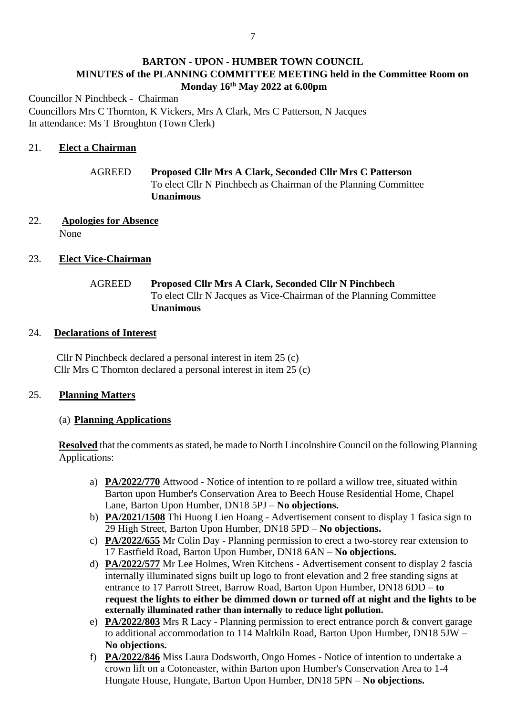# **BARTON - UPON - HUMBER TOWN COUNCIL MINUTES of the PLANNING COMMITTEE MEETING held in the Committee Room on Monday 16th May 2022 at 6.00pm**

Councillor N Pinchbeck - Chairman Councillors Mrs C Thornton, K Vickers, Mrs A Clark, Mrs C Patterson, N Jacques In attendance: Ms T Broughton (Town Clerk)

### 21. **Elect a Chairman**

# AGREED **Proposed Cllr Mrs A Clark, Seconded Cllr Mrs C Patterson** To elect Cllr N Pinchbech as Chairman of the Planning Committee **Unanimous**

### 22. **Apologies for Absence** None

## 23. **Elect Vice-Chairman**

# AGREED **Proposed Cllr Mrs A Clark, Seconded Cllr N Pinchbech** To elect Cllr N Jacques as Vice-Chairman of the Planning Committee **Unanimous**

### 24. **Declarations of Interest**

 Cllr N Pinchbeck declared a personal interest in item 25 (c) Cllr Mrs C Thornton declared a personal interest in item 25 (c)

### 25. **Planning Matters**

### (a) **Planning Applications**

**Resolved** that the comments as stated, be made to North Lincolnshire Council on the following Planning Applications:

- a) **PA/2022/770** Attwood Notice of intention to re pollard a willow tree, situated within Barton upon Humber's Conservation Area to Beech House Residential Home, Chapel Lane, Barton Upon Humber, DN18 5PJ – **No objections.**
- b) **PA/2021/1508** Thi Huong Lien Hoang Advertisement consent to display 1 fasica sign to 29 High Street, Barton Upon Humber, DN18 5PD – **No objections.**
- c) **PA/2022/655** Mr Colin Day Planning permission to erect a two-storey rear extension to 17 Eastfield Road, Barton Upon Humber, DN18 6AN – **No objections.**
- d) **PA/2022/577** Mr Lee Holmes, Wren Kitchens Advertisement consent to display 2 fascia internally illuminated signs built up logo to front elevation and 2 free standing signs at entrance to 17 Parrott Street, Barrow Road, Barton Upon Humber, DN18 6DD – **to request the lights to either be dimmed down or turned off at night and the lights to be externally illuminated rather than internally to reduce light pollution.**
- e) **PA/2022/803** Mrs R Lacy Planning permission to erect entrance porch & convert garage to additional accommodation to 114 Maltkiln Road, Barton Upon Humber, DN18 5JW – **No objections.**
- f) **PA/2022/846** Miss Laura Dodsworth, Ongo Homes Notice of intention to undertake a crown lift on a Cotoneaster, within Barton upon Humber's Conservation Area to 1-4 Hungate House, Hungate, Barton Upon Humber, DN18 5PN – **No objections.**